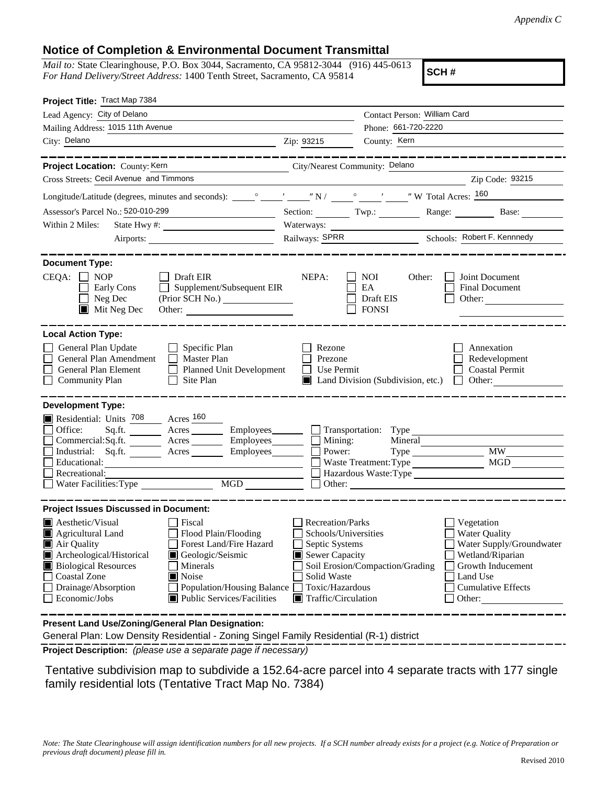## **Notice of Completion & Environmental Document Transmittal**

*Mail to:* State Clearinghouse, P.O. Box 3044, Sacramento, CA 95812-3044 (916) 445-0613 *For Hand Delivery/Street Address:* 1400 Tenth Street, Sacramento, CA 95814

**SCH #**

| Project Title: Tract Map 7384                                                                                                                                                                                                                                                                                                                                                                              |                                                                                                                                  |                                                                                                      |                                                                                                                                       |  |
|------------------------------------------------------------------------------------------------------------------------------------------------------------------------------------------------------------------------------------------------------------------------------------------------------------------------------------------------------------------------------------------------------------|----------------------------------------------------------------------------------------------------------------------------------|------------------------------------------------------------------------------------------------------|---------------------------------------------------------------------------------------------------------------------------------------|--|
| Lead Agency: City of Delano                                                                                                                                                                                                                                                                                                                                                                                |                                                                                                                                  | Contact Person: William Card                                                                         |                                                                                                                                       |  |
| Mailing Address: 1015 11th Avenue                                                                                                                                                                                                                                                                                                                                                                          |                                                                                                                                  | Phone: 661-720-2220                                                                                  |                                                                                                                                       |  |
| City: Delano<br><u> 1989 - Johann Barn, fransk politik amerikansk politik (d. 1989)</u>                                                                                                                                                                                                                                                                                                                    | Zip: 93215                                                                                                                       | County: Kern                                                                                         |                                                                                                                                       |  |
| --------------                                                                                                                                                                                                                                                                                                                                                                                             |                                                                                                                                  |                                                                                                      | -------------------                                                                                                                   |  |
| Project Location: County: Kern                                                                                                                                                                                                                                                                                                                                                                             | City/Nearest Community: Delano                                                                                                   |                                                                                                      |                                                                                                                                       |  |
| Cross Streets: Cecil Avenue and Timmons                                                                                                                                                                                                                                                                                                                                                                    |                                                                                                                                  |                                                                                                      | Zip Code: 93215                                                                                                                       |  |
|                                                                                                                                                                                                                                                                                                                                                                                                            |                                                                                                                                  |                                                                                                      |                                                                                                                                       |  |
| Assessor's Parcel No.: 520-010-299                                                                                                                                                                                                                                                                                                                                                                         |                                                                                                                                  | Section: Twp.: Range: Base:                                                                          |                                                                                                                                       |  |
| Within 2 Miles:                                                                                                                                                                                                                                                                                                                                                                                            |                                                                                                                                  |                                                                                                      |                                                                                                                                       |  |
|                                                                                                                                                                                                                                                                                                                                                                                                            | Railways: SPRR Schools: Robert F. Kennnedy                                                                                       |                                                                                                      |                                                                                                                                       |  |
| <b>Document Type:</b><br>$CEQA: \Box NOP$<br>Draft EIR<br>Supplement/Subsequent EIR<br>Early Cons<br>$\perp$<br>Neg Dec<br>$\blacksquare$<br>$\blacksquare$ Mit Neg Dec<br>Other:<br><b>Local Action Type:</b><br>General Plan Update<br>$\Box$ Specific Plan<br>General Plan Amendment<br>Master Plan<br>General Plan Element<br>Planned Unit Development<br><b>Community Plan</b><br>Site Plan<br>$\Box$ | NEPA:<br>EA<br>Rezone<br>Prezone<br>Use Permit<br>$\Box$                                                                         | NOI<br>Other:<br>Draft EIS<br><b>FONSI</b><br>$\Box$ Land Division (Subdivision, etc.) $\Box$ Other: | Joint Document<br>Final Document<br>Other:<br>Annexation<br>Redevelopment<br>Coastal Permit                                           |  |
| <b>Development Type:</b><br>Residential: Units 708 Acres 160<br>Office:<br>Sq.ft. ________ Acres _________ Employees _______ __ Transportation: Type _______<br>Commercial:Sq.ft. _________ Acres __________ Employees _______<br>Industrial: Sq.ft. _______ Acres ________ Employees_______<br>Educational:<br>Recreational:                                                                              | Mining:<br>Power:                                                                                                                | Mineral<br>Waste Treatment: Type<br>Hazardous Waste: Type<br>Other:                                  | $\overline{\text{MW}}$<br>MGD                                                                                                         |  |
| <b>Project Issues Discussed in Document:</b><br>$\blacksquare$ Aesthetic/Visual<br>Fiscal                                                                                                                                                                                                                                                                                                                  | Recreation/Parks                                                                                                                 |                                                                                                      | Vegetation                                                                                                                            |  |
| Agricultural Land<br>Flood Plain/Flooding<br>Forest Land/Fire Hazard<br>Air Quality<br>Archeological/Historical<br>Geologic/Seismic<br><b>Biological Resources</b><br>Minerals<br><b>Coastal Zone</b><br>Noise<br>Drainage/Absorption<br>Population/Housing Balance<br>Public Services/Facilities<br>Economic/Jobs                                                                                         | Schools/Universities<br>Septic Systems<br>Sewer Capacity<br>Solid Waste<br>Toxic/Hazardous<br>$\blacksquare$ Traffic/Circulation | Soil Erosion/Compaction/Grading                                                                      | Water Quality<br>Water Supply/Groundwater<br>Wetland/Riparian<br>Growth Inducement<br>Land Use<br><b>Cumulative Effects</b><br>Other: |  |
| Present Land Use/Zoning/General Plan Designation:<br>General Plan: Low Density Residential - Zoning Singel Family Residential (R-1) district                                                                                                                                                                                                                                                               |                                                                                                                                  |                                                                                                      |                                                                                                                                       |  |

**Project Description:** *(please use a separate page if necessary)*

 Tentative subdivision map to subdivide a 152.64-acre parcel into 4 separate tracts with 177 single family residential lots (Tentative Tract Map No. 7384)